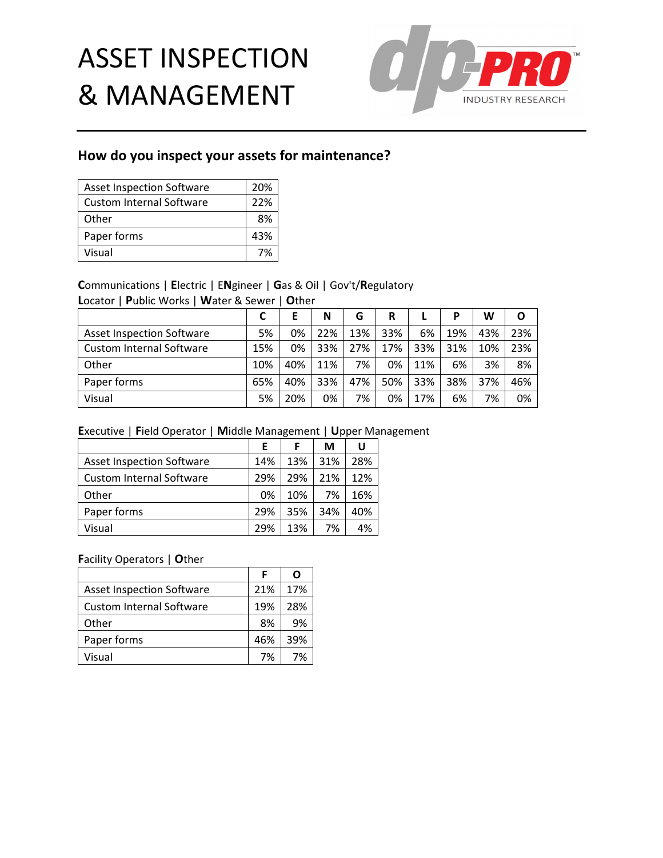

## **How do you inspect your assets for maintenance?**

| <b>Asset Inspection Software</b> | 20% |
|----------------------------------|-----|
| <b>Custom Internal Software</b>  | 22% |
| Other                            | 8%  |
| Paper forms                      | 43% |
| Visual                           | 7%  |

## **C**ommunications | **E**lectric | E**N**gineer | **G**as & Oil | Gov't/**R**egulatory

**L**ocator | **P**ublic Works | **W**ater & Sewer | **O**ther

|                                  |     |     | N   | G   | R   |     | P   | W   | O   |
|----------------------------------|-----|-----|-----|-----|-----|-----|-----|-----|-----|
| <b>Asset Inspection Software</b> | 5%  | 0%  | 22% | 13% | 33% | 6%  | 19% | 43% | 23% |
| <b>Custom Internal Software</b>  | 15% | 0%  | 33% | 27% | 17% | 33% | 31% | 10% | 23% |
| Other                            | 10% | 40% | 11% | 7%  | 0%  | 11% | 6%  | 3%  | 8%  |
| Paper forms                      | 65% | 40% | 33% | 47% | 50% | 33% | 38% | 37% | 46% |
| Visual                           | 5%  | 20% | 0%  | 7%  | 0%  | 17% | 6%  | 7%  | 0%  |

### **E**xecutive | **F**ield Operator | **M**iddle Management | **U**pper Management

|                                  | Е   | F   | М   | U   |
|----------------------------------|-----|-----|-----|-----|
| <b>Asset Inspection Software</b> | 14% | 13% | 31% | 28% |
| <b>Custom Internal Software</b>  | 29% | 29% | 21% | 12% |
| Other                            | 0%  | 10% | 7%  | 16% |
| Paper forms                      | 29% | 35% | 34% | 40% |
| Visual                           | 29% | 13% | 7%  | 4%  |

|                                  | F   | Ω   |
|----------------------------------|-----|-----|
| <b>Asset Inspection Software</b> | 21% | 17% |
| <b>Custom Internal Software</b>  | 19% | 28% |
| Other                            | 8%  | 9%  |
| Paper forms                      | 46% | 39% |
| Visual                           | 7%  | 7%  |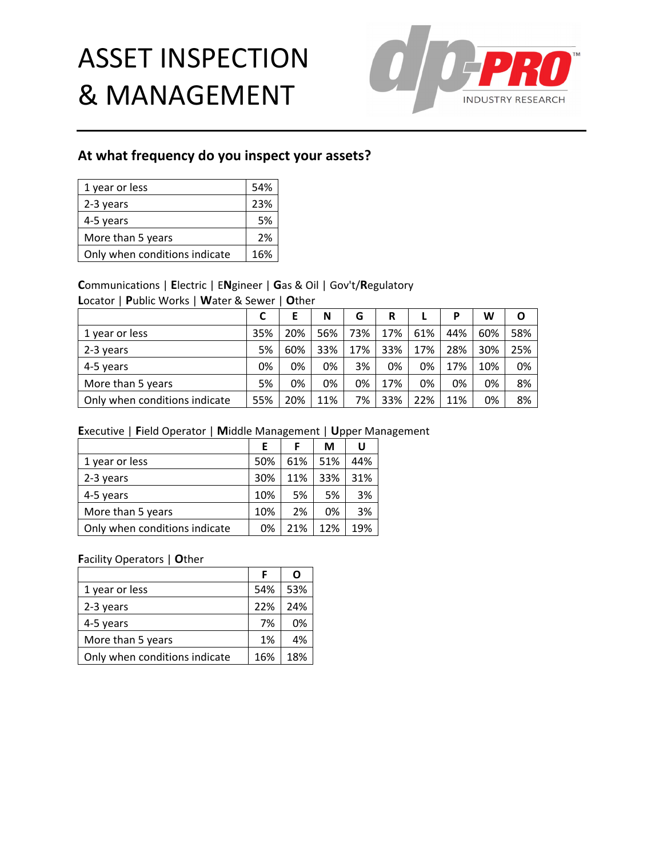

## **At what frequency do you inspect your assets?**

| 1 year or less                | 54% |
|-------------------------------|-----|
| 2-3 years                     | 23% |
| 4-5 years                     | 5%  |
| More than 5 years             | 2%  |
| Only when conditions indicate | 16% |

## **C**ommunications | **E**lectric | E**N**gineer | **G**as & Oil | Gov't/**R**egulatory

**L**ocator | **P**ublic Works | **W**ater & Sewer | **O**ther

|                               |     | Е   | N   | G   | R   |     | P   | W   | O   |
|-------------------------------|-----|-----|-----|-----|-----|-----|-----|-----|-----|
| 1 year or less                | 35% | 20% | 56% | 73% | 17% | 61% | 44% | 60% | 58% |
| 2-3 years                     | 5%  | 60% | 33% | 17% | 33% | 17% | 28% | 30% | 25% |
| 4-5 years                     | 0%  | 0%  | 0%  | 3%  | 0%  | 0%  | 17% | 10% | 0%  |
| More than 5 years             | 5%  | 0%  | 0%  | 0%  | 17% | 0%  | 0%  | 0%  | 8%  |
| Only when conditions indicate | 55% | 20% | 11% | 7%  | 33% | 22% | 11% | 0%  | 8%  |

### **E**xecutive | **F**ield Operator | **M**iddle Management | **U**pper Management

|                               | Е   | F   | М   | U   |
|-------------------------------|-----|-----|-----|-----|
| 1 year or less                | 50% | 61% | 51% | 44% |
| 2-3 years                     | 30% | 11% | 33% | 31% |
| 4-5 years                     | 10% | 5%  | 5%  | 3%  |
| More than 5 years             | 10% | 2%  | 0%  | 3%  |
| Only when conditions indicate | 0%  | 21% | 12% | 19% |

|                               | F   | ი   |
|-------------------------------|-----|-----|
| 1 year or less                | 54% | 53% |
| 2-3 years                     | 22% | 24% |
| 4-5 years                     | 7%  | 0%  |
| More than 5 years             | 1%  | 4%  |
| Only when conditions indicate | 16% | 18% |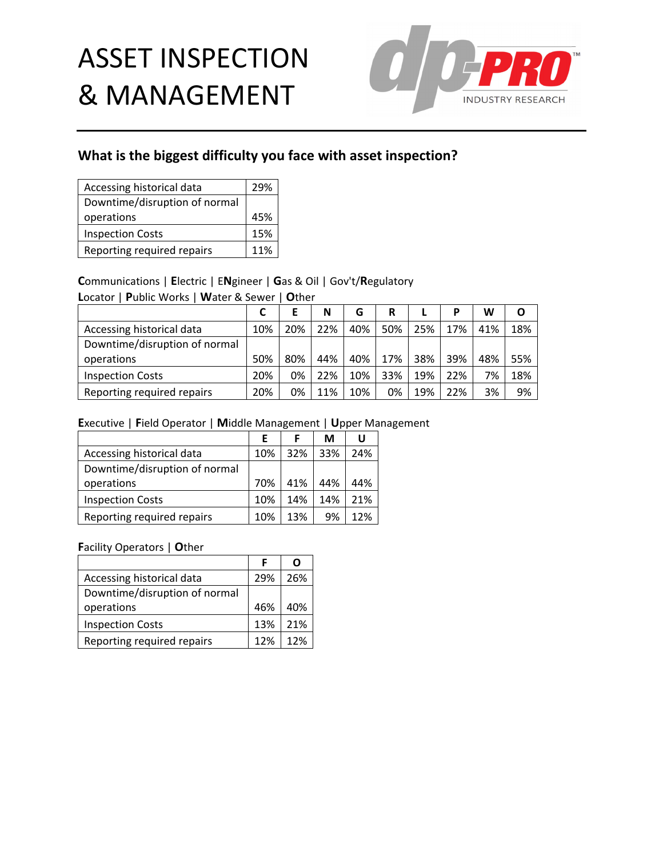

# **What is the biggest difficulty you face with asset inspection?**

| Accessing historical data     | 29% |
|-------------------------------|-----|
| Downtime/disruption of normal |     |
| operations                    | 45% |
| <b>Inspection Costs</b>       | 15% |
| Reporting required repairs    | 11% |

## **C**ommunications | **E**lectric | E**N**gineer | **G**as & Oil | Gov't/**R**egulatory

**L**ocator | **P**ublic Works | **W**ater & Sewer | **O**ther

|                               |     |     | N   | G   | R   |     | р   | W   | O   |
|-------------------------------|-----|-----|-----|-----|-----|-----|-----|-----|-----|
| Accessing historical data     | 10% | 20% | 22% | 40% | 50% | 25% | 17% | 41% | 18% |
| Downtime/disruption of normal |     |     |     |     |     |     |     |     |     |
| operations                    | 50% | 80% | 44% | 40% | 17% | 38% | 39% | 48% | 55% |
| <b>Inspection Costs</b>       | 20% | 0%  | 22% | 10% | 33% | 19% | 22% | 7%  | 18% |
| Reporting required repairs    | 20% | 0%  | 11% | 10% | 0%  | 19% | 22% | 3%  | 9%  |

## **E**xecutive | **F**ield Operator | **M**iddle Management | **U**pper Management

|                               | E   |     | М   | U   |
|-------------------------------|-----|-----|-----|-----|
| Accessing historical data     | 10% | 32% | 33% | 24% |
| Downtime/disruption of normal |     |     |     |     |
| operations                    | 70% | 41% | 44% | 44% |
| <b>Inspection Costs</b>       | 10% | 14% | 14% | 21% |
| Reporting required repairs    | 10% | 13% | 9%  | 12% |

| Accessing historical data     | 29% | 26% |
|-------------------------------|-----|-----|
| Downtime/disruption of normal |     |     |
| operations                    | 46% | 40% |
| <b>Inspection Costs</b>       | 13% | 21% |
| Reporting required repairs    | 12% | 12% |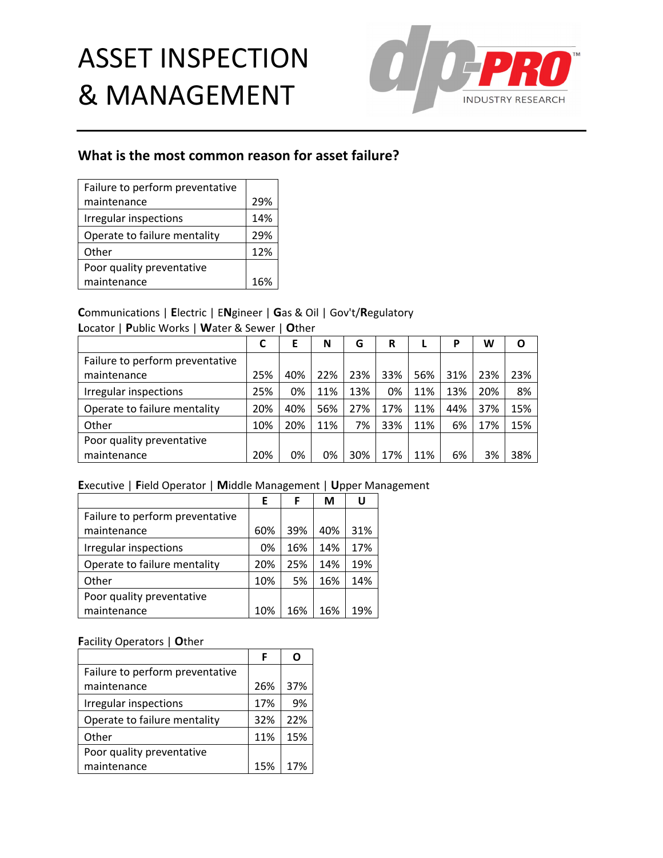

## **What is the most common reason for asset failure?**

| Failure to perform preventative |     |
|---------------------------------|-----|
| maintenance                     | 29% |
| Irregular inspections           | 14% |
| Operate to failure mentality    | 29% |
| Other                           | 12% |
| Poor quality preventative       |     |
| maintenance                     | 16% |

### **C**ommunications | **E**lectric | E**N**gineer | **G**as & Oil | Gov't/**R**egulatory

**L**ocator | **P**ublic Works | **W**ater & Sewer | **O**ther

|                                 | С   | Ε   | N   | G   | R   |     | Р   | W   | O   |
|---------------------------------|-----|-----|-----|-----|-----|-----|-----|-----|-----|
| Failure to perform preventative |     |     |     |     |     |     |     |     |     |
| maintenance                     | 25% | 40% | 22% | 23% | 33% | 56% | 31% | 23% | 23% |
| Irregular inspections           | 25% | 0%  | 11% | 13% | 0%  | 11% | 13% | 20% | 8%  |
| Operate to failure mentality    | 20% | 40% | 56% | 27% | 17% | 11% | 44% | 37% | 15% |
| Other                           | 10% | 20% | 11% | 7%  | 33% | 11% | 6%  | 17% | 15% |
| Poor quality preventative       |     |     |     |     |     |     |     |     |     |
| maintenance                     | 20% | 0%  | 0%  | 30% | 17% | 11% | 6%  | 3%  | 38% |

### **E**xecutive | **F**ield Operator | **M**iddle Management | **U**pper Management

|                                 | E   | F   | М   | U   |
|---------------------------------|-----|-----|-----|-----|
| Failure to perform preventative |     |     |     |     |
| maintenance                     | 60% | 39% | 40% | 31% |
| Irregular inspections           | 0%  | 16% | 14% | 17% |
| Operate to failure mentality    | 20% | 25% | 14% | 19% |
| Other                           | 10% | 5%  | 16% | 14% |
| Poor quality preventative       |     |     |     |     |
| maintenance                     | 10% | 16% | 16% | 19% |

|                                 | F   |     |
|---------------------------------|-----|-----|
| Failure to perform preventative |     |     |
| maintenance                     | 26% | 37% |
| Irregular inspections           | 17% | 9%  |
| Operate to failure mentality    | 32% | 22% |
| Other                           | 11% | 15% |
| Poor quality preventative       |     |     |
| maintenance                     | 15% | 17% |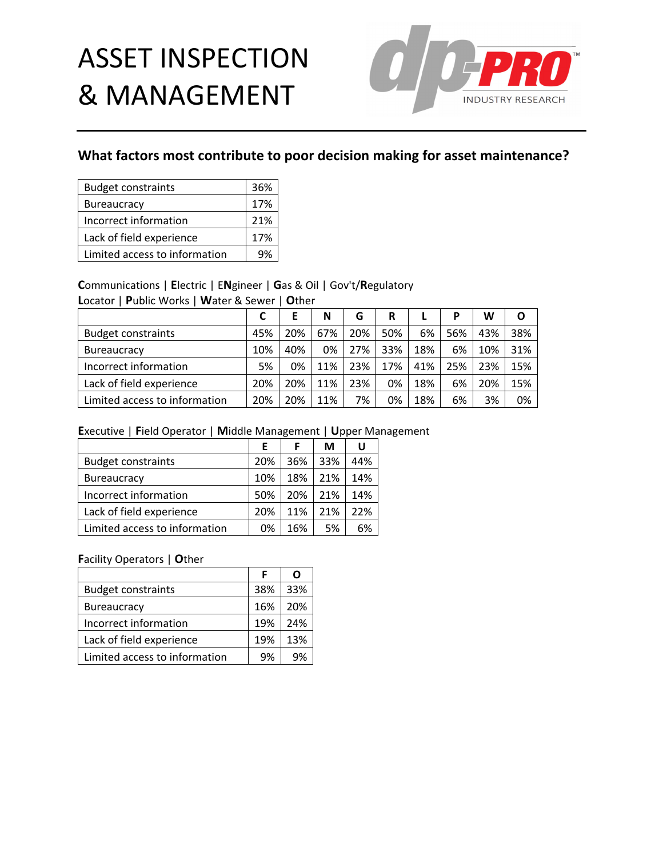

# **What factors most contribute to poor decision making for asset maintenance?**

| <b>Budget constraints</b>     | 36% |
|-------------------------------|-----|
| <b>Bureaucracy</b>            | 17% |
| Incorrect information         | 21% |
| Lack of field experience      | 17% |
| Limited access to information | 9%  |

## **C**ommunications | **E**lectric | E**N**gineer | **G**as & Oil | Gov't/**R**egulatory

**L**ocator | **P**ublic Works | **W**ater & Sewer | **O**ther

|                               |     |     | N   | G   | R   |     | P   | W   | O   |
|-------------------------------|-----|-----|-----|-----|-----|-----|-----|-----|-----|
| <b>Budget constraints</b>     | 45% | 20% | 67% | 20% | 50% | 6%  | 56% | 43% | 38% |
| <b>Bureaucracy</b>            | 10% | 40% | 0%  | 27% | 33% | 18% | 6%  | 10% | 31% |
| Incorrect information         | 5%  | 0%  | 11% | 23% | 17% | 41% | 25% | 23% | 15% |
| Lack of field experience      | 20% | 20% | 11% | 23% | 0%  | 18% | 6%  | 20% | 15% |
| Limited access to information | 20% | 20% | 11% | 7%  | 0%  | 18% | 6%  | 3%  | 0%  |

### **E**xecutive | **F**ield Operator | **M**iddle Management | **U**pper Management

|                               | F   | F   | М   | U   |
|-------------------------------|-----|-----|-----|-----|
| <b>Budget constraints</b>     | 20% | 36% | 33% | 44% |
| <b>Bureaucracy</b>            | 10% | 18% | 21% | 14% |
| Incorrect information         | 50% | 20% | 21% | 14% |
| Lack of field experience      | 20% | 11% | 21% | 22% |
| Limited access to information | 0%  | 16% | 5%  | 6%  |

|                               | F   |     |
|-------------------------------|-----|-----|
| <b>Budget constraints</b>     | 38% | 33% |
| <b>Bureaucracy</b>            | 16% | 20% |
| Incorrect information         | 19% | 24% |
| Lack of field experience      | 19% | 13% |
| Limited access to information | 9%  |     |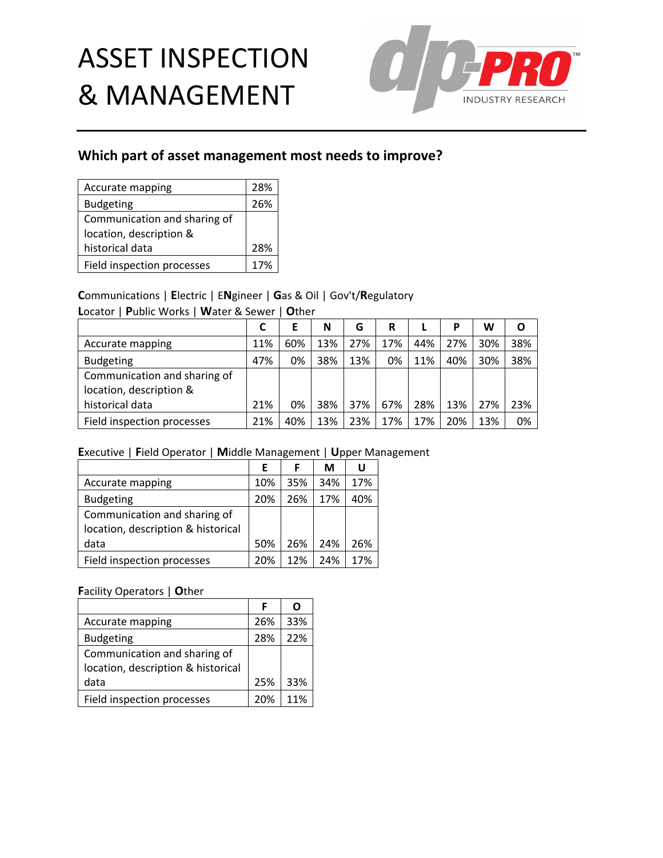

# **Which part of asset management most needs to improve?**

| Accurate mapping             | 28% |
|------------------------------|-----|
| <b>Budgeting</b>             | 26% |
| Communication and sharing of |     |
| location, description &      |     |
| historical data              | 28% |
| Field inspection processes   | 17% |

## **C**ommunications | **E**lectric | E**N**gineer | **G**as & Oil | Gov't/**R**egulatory

**L**ocator | **P**ublic Works | **W**ater & Sewer | **O**ther

|                              |     |     | N   | G   | R   |     | Р   | W   | O   |
|------------------------------|-----|-----|-----|-----|-----|-----|-----|-----|-----|
| Accurate mapping             | 11% | 60% | 13% | 27% | 17% | 44% | 27% | 30% | 38% |
| <b>Budgeting</b>             | 47% | 0%  | 38% | 13% | 0%  | 11% | 40% | 30% | 38% |
| Communication and sharing of |     |     |     |     |     |     |     |     |     |
| location, description &      |     |     |     |     |     |     |     |     |     |
| historical data              | 21% | 0%  | 38% | 37% | 67% | 28% | 13% | 27% | 23% |
| Field inspection processes   | 21% | 40% | 13% | 23% | 17% | 17% | 20% | 13% | 0%  |

### **E**xecutive | **F**ield Operator | **M**iddle Management | **U**pper Management

|                                    | E   | F   | М   | U   |
|------------------------------------|-----|-----|-----|-----|
| Accurate mapping                   | 10% | 35% | 34% | 17% |
| <b>Budgeting</b>                   | 20% | 26% | 17% | 40% |
| Communication and sharing of       |     |     |     |     |
| location, description & historical |     |     |     |     |
| data                               | 50% | 26% | 24% | 26% |
| Field inspection processes         | 20% | 12% | 24% | 17% |

|                                                                    |     | n   |
|--------------------------------------------------------------------|-----|-----|
| Accurate mapping                                                   | 26% | 33% |
| <b>Budgeting</b>                                                   | 28% | 22% |
| Communication and sharing of<br>location, description & historical |     |     |
| data                                                               | 25% | 33% |
| Field inspection processes                                         | 20% | 11% |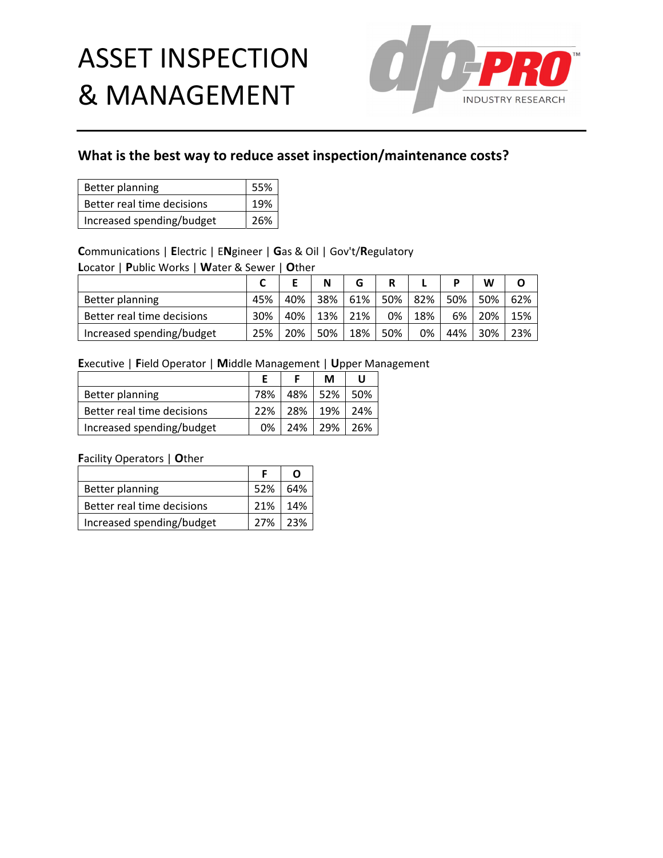

# **What is the best way to reduce asset inspection/maintenance costs?**

| Better planning            | 55% |
|----------------------------|-----|
| Better real time decisions | 19% |
| Increased spending/budget  | 26% |

## **C**ommunications | **E**lectric | E**N**gineer | **G**as & Oil | Gov't/**R**egulatory

**L**ocator | **P**ublic Works | **W**ater & Sewer | **O**ther

|                            |     |     | N          | G   |     |     |     | w   |     |
|----------------------------|-----|-----|------------|-----|-----|-----|-----|-----|-----|
| Better planning            | 45% | 40% | 38%        | 61% | 50% | 82% | 50% | 50% | 62% |
| Better real time decisions | 30% | 40% | <b>13%</b> | 21% | 0%  | 18% | 6%  | 20% | 15% |
| Increased spending/budget  | 25% | 20% | 50%        | 18% | 50% | 0%  | 44% | 30% | 23% |

### **E**xecutive | **F**ield Operator | **M**iddle Management | **U**pper Management

|                            | F              | М               | U |
|----------------------------|----------------|-----------------|---|
| Better planning            | 78%            | 48% 52% 50%     |   |
| Better real time decisions | 22%            | 28%   19%   24% |   |
| Increased spending/budget  | 0 <sub>%</sub> | 24% 29% 26%     |   |

| Better planning            | 52% | 64%     |
|----------------------------|-----|---------|
| Better real time decisions | 21% | 14%     |
| Increased spending/budget  |     | 27% 23% |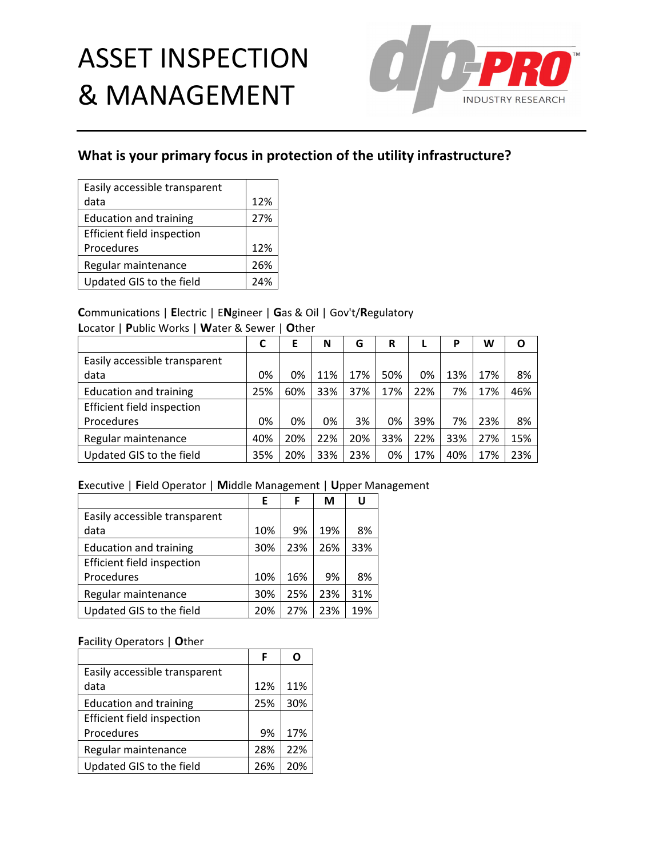

# **What is your primary focus in protection of the utility infrastructure?**

| Easily accessible transparent |     |
|-------------------------------|-----|
| data                          | 12% |
| <b>Education and training</b> | 27% |
| Efficient field inspection    |     |
| Procedures                    | 12% |
| Regular maintenance           | 26% |
| Updated GIS to the field      | 24% |

### **C**ommunications | **E**lectric | E**N**gineer | **G**as & Oil | Gov't/**R**egulatory

**L**ocator | **P**ublic Works | **W**ater & Sewer | **O**ther

|                                   |     | E   | N   | G   | R   |     | P   | W   | Ο   |
|-----------------------------------|-----|-----|-----|-----|-----|-----|-----|-----|-----|
| Easily accessible transparent     |     |     |     |     |     |     |     |     |     |
| data                              | 0%  | 0%  | 11% | 17% | 50% | 0%  | 13% | 17% | 8%  |
| <b>Education and training</b>     | 25% | 60% | 33% | 37% | 17% | 22% | 7%  | 17% | 46% |
| <b>Efficient field inspection</b> |     |     |     |     |     |     |     |     |     |
| Procedures                        | 0%  | 0%  | 0%  | 3%  | 0%  | 39% | 7%  | 23% | 8%  |
| Regular maintenance               | 40% | 20% | 22% | 20% | 33% | 22% | 33% | 27% | 15% |
| Updated GIS to the field          | 35% | 20% | 33% | 23% | 0%  | 17% | 40% | 17% | 23% |

### **E**xecutive | **F**ield Operator | **M**iddle Management | **U**pper Management

|                               | Е   | F   | М   | U   |
|-------------------------------|-----|-----|-----|-----|
| Easily accessible transparent |     |     |     |     |
| data                          | 10% | 9%  | 19% | 8%  |
| <b>Education and training</b> | 30% | 23% | 26% | 33% |
| Efficient field inspection    |     |     |     |     |
| Procedures                    | 10% | 16% | 9%  | 8%  |
| Regular maintenance           | 30% | 25% | 23% | 31% |
| Updated GIS to the field      | 20% | 27% | 23% | 19% |

|                               | F   |     |
|-------------------------------|-----|-----|
| Easily accessible transparent |     |     |
| data                          | 12% | 11% |
| <b>Education and training</b> | 25% | 30% |
| Efficient field inspection    |     |     |
| Procedures                    | 9%  | 17% |
| Regular maintenance           | 28% | 22% |
| Updated GIS to the field      | 26% | 20% |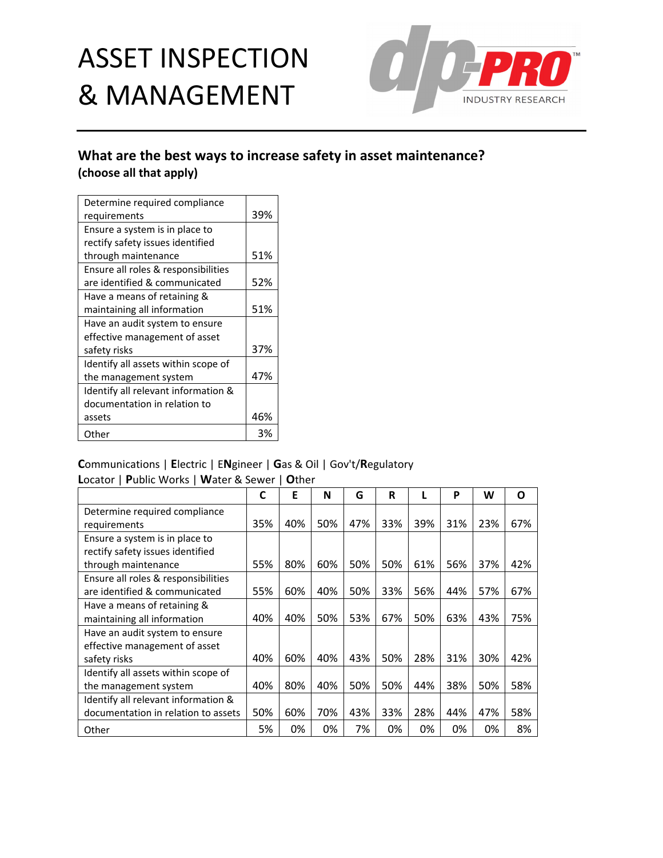

## **What are the best ways to increase safety in asset maintenance? (choose all that apply)**

| Determine required compliance       |     |
|-------------------------------------|-----|
| requirements                        | 39% |
| Ensure a system is in place to      |     |
| rectify safety issues identified    |     |
| through maintenance                 | 51% |
| Ensure all roles & responsibilities |     |
| are identified & communicated       | 52% |
| Have a means of retaining &         |     |
| maintaining all information         | 51% |
| Have an audit system to ensure      |     |
| effective management of asset       |     |
| safety risks                        | 37% |
| Identify all assets within scope of |     |
| the management system               | 47% |
| Identify all relevant information & |     |
| documentation in relation to        |     |
| assets                              | 46% |
| Other                               | 3%  |

### **C**ommunications | **E**lectric | E**N**gineer | **G**as & Oil | Gov't/**R**egulatory **L**ocator | **P**ublic Works | **W**ater & Sewer | **O**ther

|                                     | C   | Е   | N   | G   | R   |     | P   | W   | Ο   |
|-------------------------------------|-----|-----|-----|-----|-----|-----|-----|-----|-----|
| Determine required compliance       |     |     |     |     |     |     |     |     |     |
| requirements                        | 35% | 40% | 50% | 47% | 33% | 39% | 31% | 23% | 67% |
| Ensure a system is in place to      |     |     |     |     |     |     |     |     |     |
| rectify safety issues identified    |     |     |     |     |     |     |     |     |     |
| through maintenance                 | 55% | 80% | 60% | 50% | 50% | 61% | 56% | 37% | 42% |
| Ensure all roles & responsibilities |     |     |     |     |     |     |     |     |     |
| are identified & communicated       | 55% | 60% | 40% | 50% | 33% | 56% | 44% | 57% | 67% |
| Have a means of retaining &         |     |     |     |     |     |     |     |     |     |
| maintaining all information         | 40% | 40% | 50% | 53% | 67% | 50% | 63% | 43% | 75% |
| Have an audit system to ensure      |     |     |     |     |     |     |     |     |     |
| effective management of asset       |     |     |     |     |     |     |     |     |     |
| safety risks                        | 40% | 60% | 40% | 43% | 50% | 28% | 31% | 30% | 42% |
| Identify all assets within scope of |     |     |     |     |     |     |     |     |     |
| the management system               | 40% | 80% | 40% | 50% | 50% | 44% | 38% | 50% | 58% |
| Identify all relevant information & |     |     |     |     |     |     |     |     |     |
| documentation in relation to assets | 50% | 60% | 70% | 43% | 33% | 28% | 44% | 47% | 58% |
| Other                               | 5%  | 0%  | 0%  | 7%  | 0%  | 0%  | 0%  | 0%  | 8%  |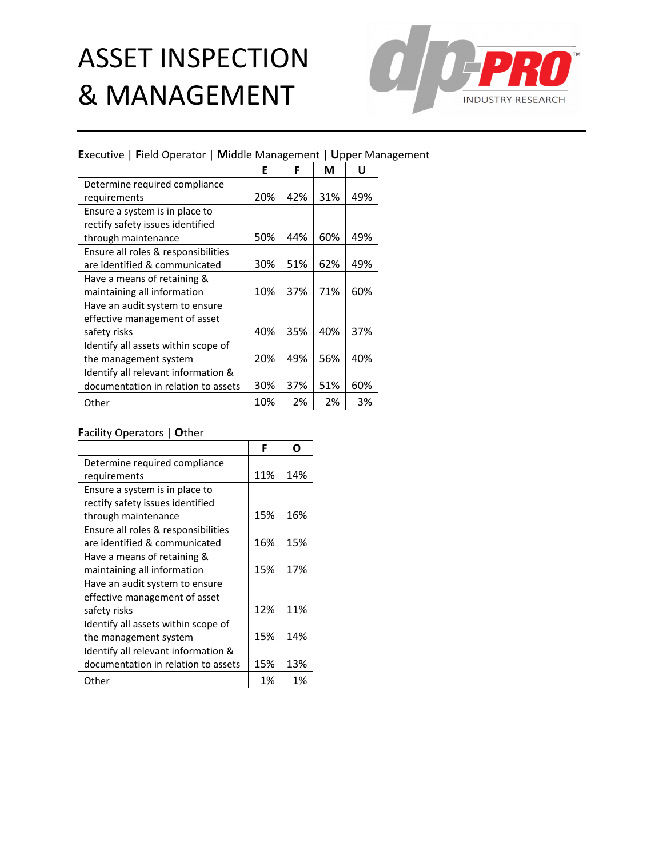

### **E**xecutive | **F**ield Operator | **M**iddle Management | **U**pper Management

|                                     | E   | F   | М   | U   |
|-------------------------------------|-----|-----|-----|-----|
| Determine required compliance       |     |     |     |     |
| requirements                        | 20% | 42% | 31% | 49% |
| Ensure a system is in place to      |     |     |     |     |
| rectify safety issues identified    |     |     |     |     |
| through maintenance                 | 50% | 44% | 60% | 49% |
| Ensure all roles & responsibilities |     |     |     |     |
| are identified & communicated       | 30% | 51% | 62% | 49% |
| Have a means of retaining &         |     |     |     |     |
| maintaining all information         | 10% | 37% | 71% | 60% |
| Have an audit system to ensure      |     |     |     |     |
| effective management of asset       |     |     |     |     |
| safety risks                        | 40% | 35% | 40% | 37% |
| Identify all assets within scope of |     |     |     |     |
| the management system               | 20% | 49% | 56% | 40% |
| Identify all relevant information & |     |     |     |     |
| documentation in relation to assets | 30% | 37% | 51% | 60% |
| Other                               | 10% | 2%  | 2%  | 3%  |

|                                     | F   |     |
|-------------------------------------|-----|-----|
| Determine required compliance       |     |     |
| requirements                        | 11% | 14% |
| Ensure a system is in place to      |     |     |
| rectify safety issues identified    |     |     |
| through maintenance                 | 15% | 16% |
| Ensure all roles & responsibilities |     |     |
| are identified & communicated       | 16% | 15% |
| Have a means of retaining &         |     |     |
| maintaining all information         | 15% | 17% |
| Have an audit system to ensure      |     |     |
| effective management of asset       |     |     |
| safety risks                        | 12% | 11% |
| Identify all assets within scope of |     |     |
| the management system               | 15% | 14% |
| Identify all relevant information & |     |     |
| documentation in relation to assets | 15% | 13% |
| Other                               | 1%  | 1%  |